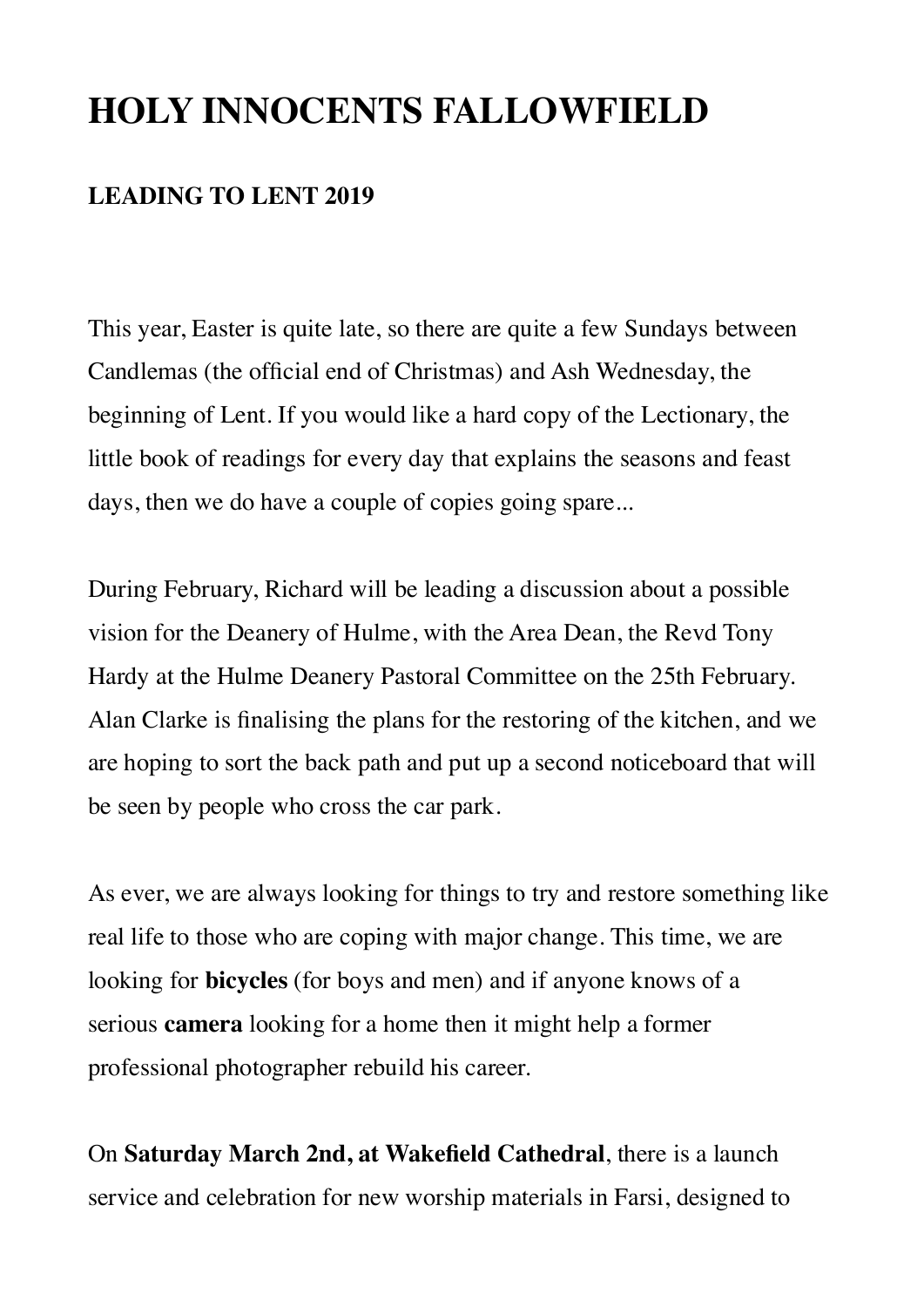# **HOLY INNOCENTS FALLOWFIELD**

### **LEADING TO LENT 2019**

This year, Easter is quite late, so there are quite a few Sundays between Candlemas (the official end of Christmas) and Ash Wednesday, the beginning of Lent. If you would like a hard copy of the Lectionary, the little book of readings for every day that explains the seasons and feast days, then we do have a couple of copies going spare...

During February, Richard will be leading a discussion about a possible vision for the Deanery of Hulme, with the Area Dean, the Revd Tony Hardy at the Hulme Deanery Pastoral Committee on the 25th February. Alan Clarke is finalising the plans for the restoring of the kitchen, and we are hoping to sort the back path and put up a second noticeboard that will be seen by people who cross the car park.

As ever, we are always looking for things to try and restore something like real life to those who are coping with major change. This time, we are looking for **bicycles** (for boys and men) and if anyone knows of a serious **camera** looking for a home then it might help a former professional photographer rebuild his career.

On **Saturday March 2nd, at Wakefield Cathedral**, there is a launch service and celebration for new worship materials in Farsi, designed to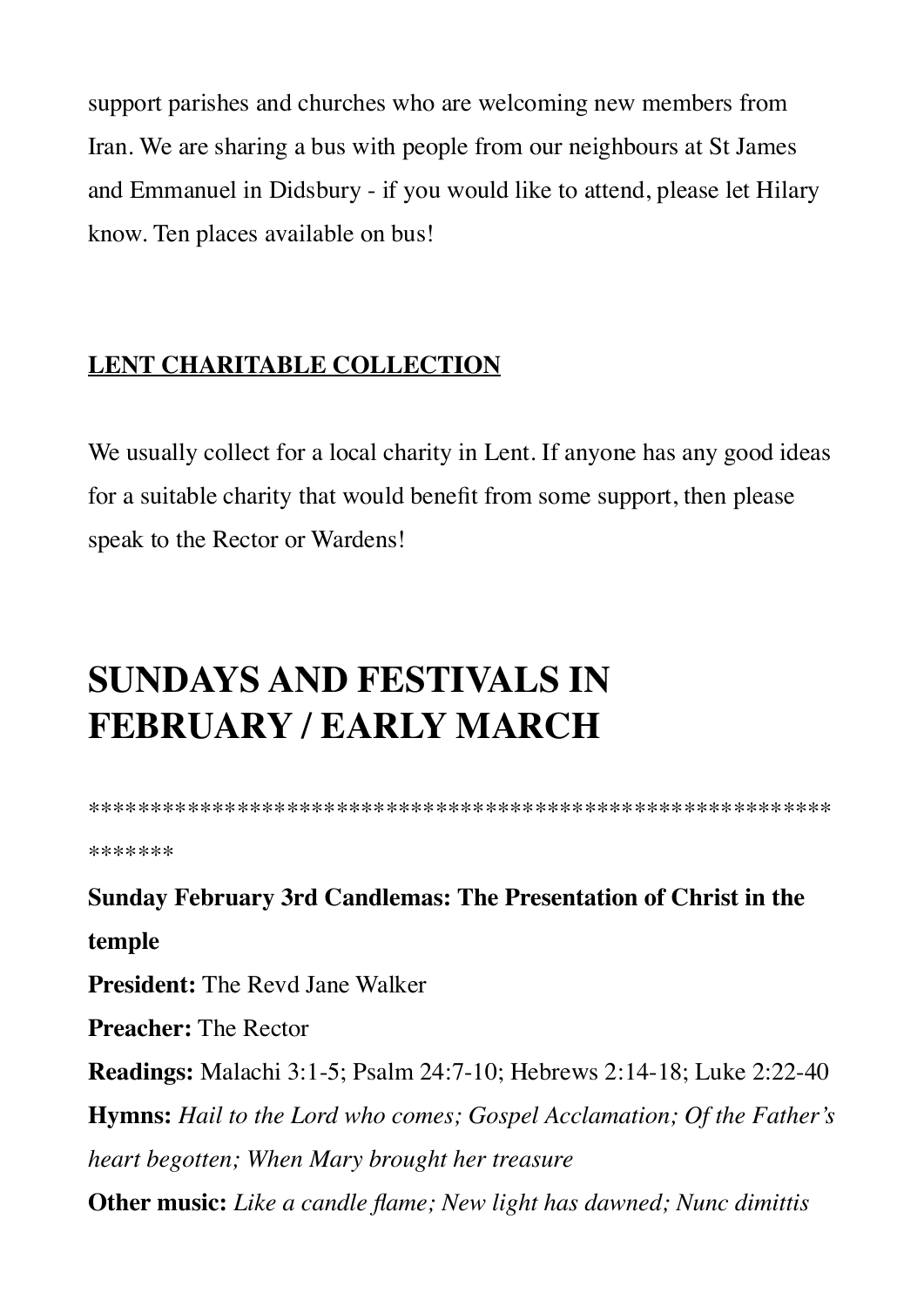support parishes and churches who are welcoming new members from Iran. We are sharing a bus with people from our neighbours at St James and Emmanuel in Didsbury - if you would like to attend, please let Hilary know. Ten places available on bus!

# **LENT CHARITABLE COLLECTION**

We usually collect for a local charity in Lent. If anyone has any good ideas for a suitable charity that would benefit from some support, then please speak to the Rector or Wardens!

# **SUNDAYS AND FESTIVALS IN FEBRUARY / EARLY MARCH**

\*\*\*\*\*\*\*\*\*\*\*\*\*\*\*\*\*\*\*\*\*\*\*\*\*\*\*\*\*\*\*\*\*\*\*\*\*\*\*\*\*\*\*\*\*\*\*\*\*\*\*\*\*\*\*\*\*\*\*\* \*\*\*\*\*\*\*

**Sunday February 3rd Candlemas: The Presentation of Christ in the temple President:** The Revd Jane Walker **Preacher:** The Rector

**Readings:** Malachi 3:1-5; Psalm 24:7-10; Hebrews 2:14-18; Luke 2:22-40 **Hymns:** *Hail to the Lord who comes; Gospel Acclamation; Of the Father's heart begotten; When Mary brought her treasure* **Other music:** *Like a candle flame; New light has dawned; Nunc dimittis*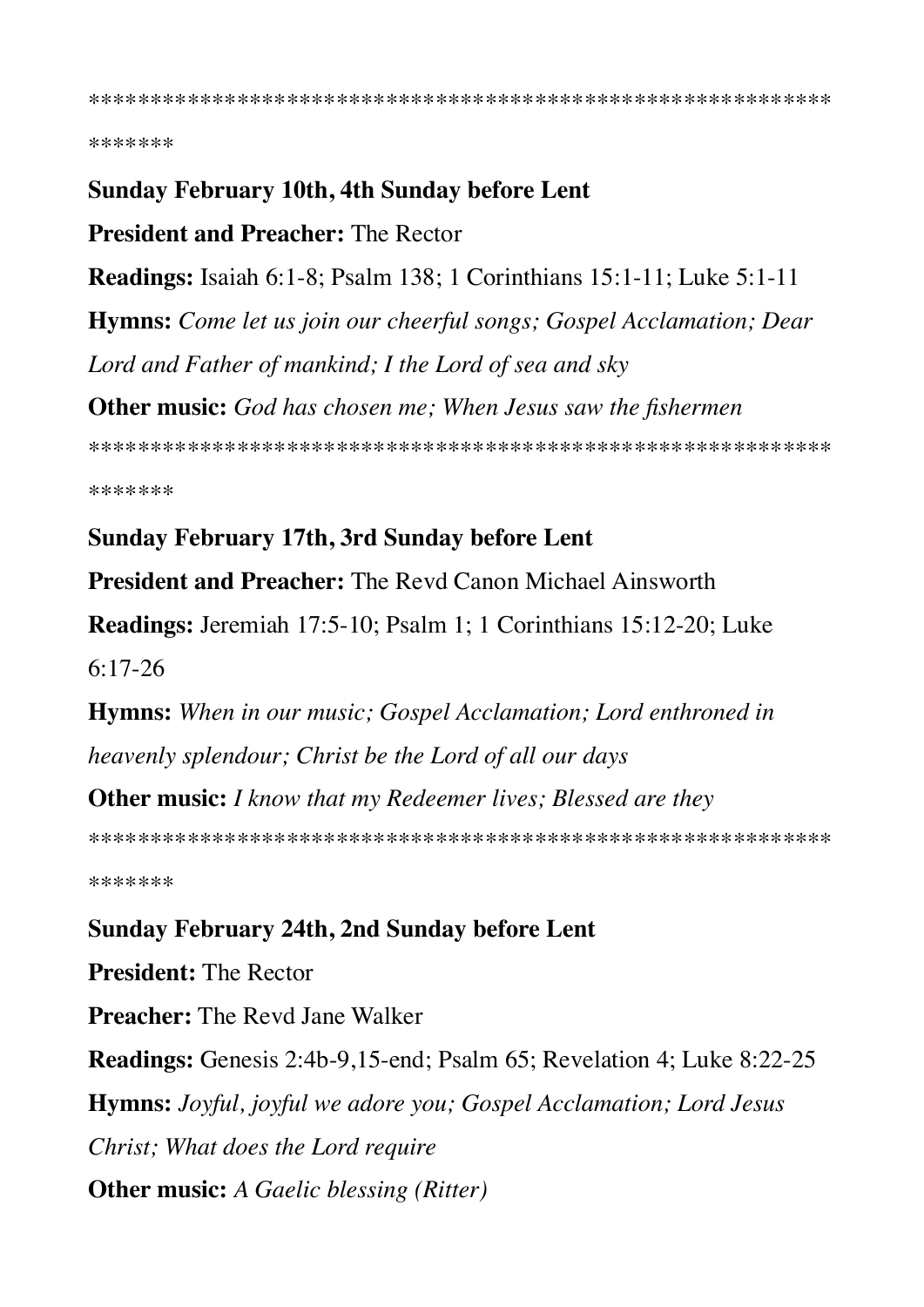\*\*\*\*\*\*\*

#### **Sunday February 10th, 4th Sunday before Lent**

**President and Preacher: The Rector** 

**Readings:** Isaiah 6:1-8; Psalm 138; 1 Corinthians 15:1-11; Luke 5:1-11 **Hymns:** Come let us join our cheerful songs; Gospel Acclamation; Dear Lord and Father of mankind; I the Lord of sea and sky **Other music:** God has chosen me; When Jesus saw the fishermen 

\*\*\*\*\*\*\*

#### **Sunday February 17th, 3rd Sunday before Lent**

**President and Preacher:** The Revd Canon Michael Ainsworth

Readings: Jeremiah 17:5-10; Psalm 1; 1 Corinthians 15:12-20; Luke  $6:17-26$ 

**Hymns:** When in our music; Gospel Acclamation; Lord enthroned in heavenly splendour; Christ be the Lord of all our days

**Other music:** I know that my Redeemer lives; Blessed are they

\*\*\*\*\*\*\*

#### **Sunday February 24th, 2nd Sunday before Lent**

**President: The Rector** 

**Preacher:** The Revd Jane Walker

Readings: Genesis 2:4b-9,15-end; Psalm 65; Revelation 4; Luke 8:22-25 **Hymns:** Joyful, joyful we adore you; Gospel Acclamation; Lord Jesus Christ; What does the Lord require **Other music:** A Gaelic blessing (Ritter)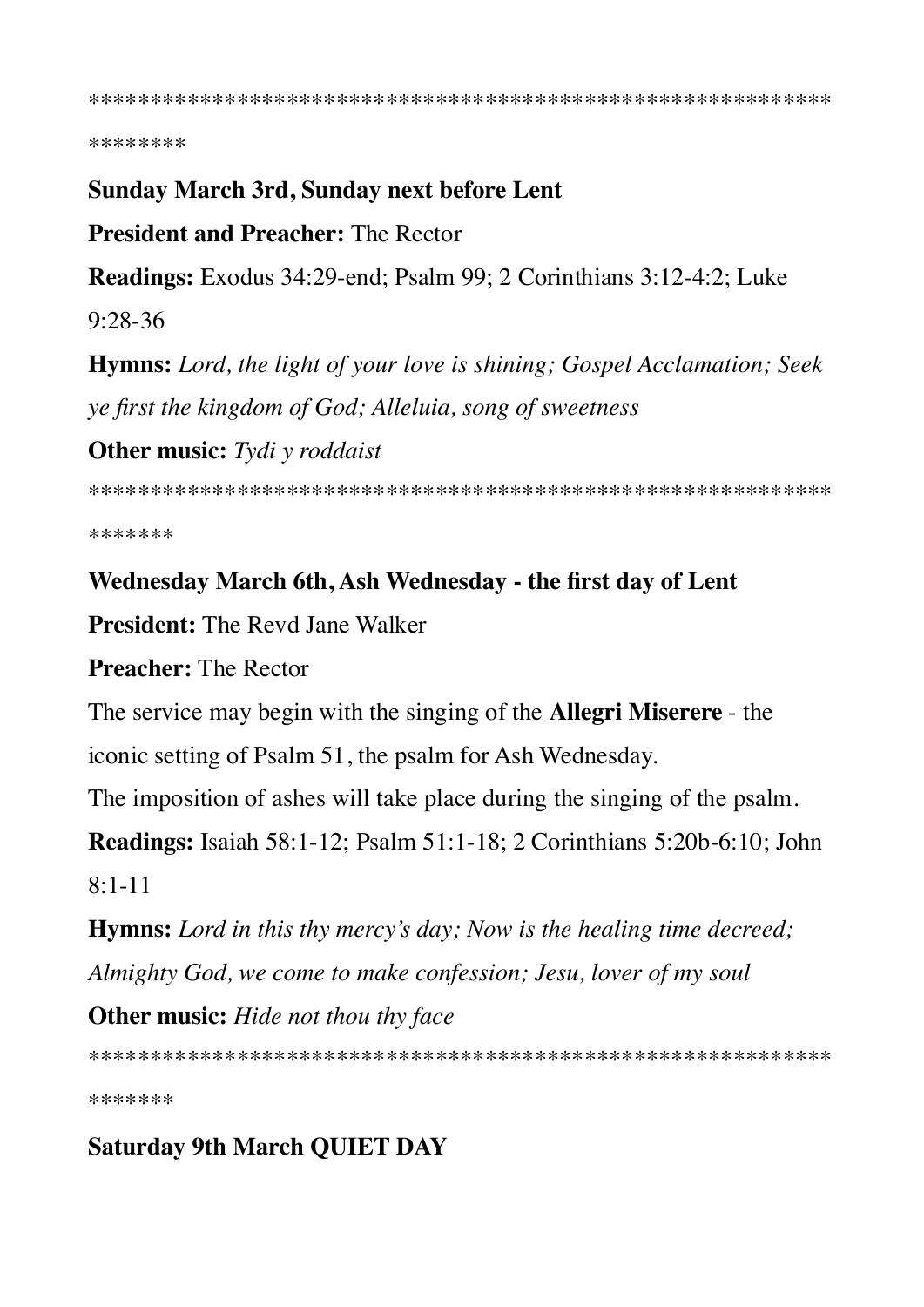\*\*\*\*\*\*\*\*

#### **Sunday March 3rd, Sunday next before Lent**

**President and Preacher: The Rector** 

**Readings:** Exodus 34:29-end; Psalm 99; 2 Corinthians 3:12-4:2; Luke

 $9:28-36$ 

**Hymns:** Lord, the light of your love is shining; Gospel Acclamation; Seek ye first the kingdom of God; Alleluia, song of sweetness

**Other music:** Tydi y roddaist

\*\*\*\*\*\*\*

#### Wednesday March 6th, Ash Wednesday - the first day of Lent

**President:** The Revd Jane Walker

**Preacher:** The Rector

The service may begin with the singing of the **Allegri Miserere** - the

iconic setting of Psalm 51, the psalm for Ash Wednesday.

The imposition of ashes will take place during the singing of the psalm.

**Readings:** Isaiah 58:1-12; Psalm 51:1-18; 2 Corinthians 5:20b-6:10; John  $8.1 - 11$ 

**Hymns:** Lord in this thy mercy's day; Now is the healing time decreed; Almighty God, we come to make confession; Jesu, lover of my soul

**Other music:** Hide not thou thy face

\*\*\*\*\*\*\*

# **Saturday 9th March QUIET DAY**